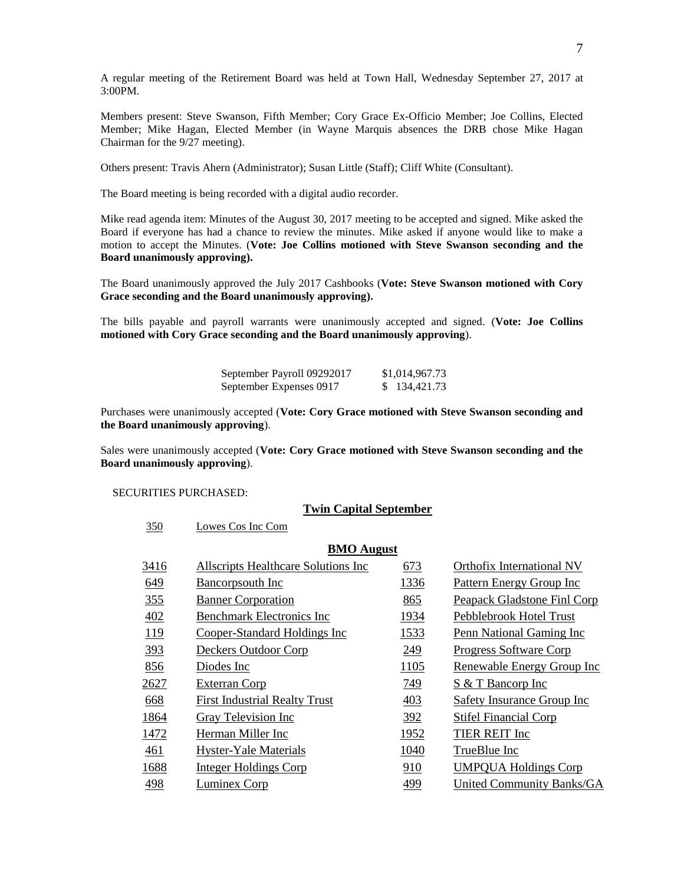A regular meeting of the Retirement Board was held at Town Hall, Wednesday September 27, 2017 at 3:00PM.

Members present: Steve Swanson, Fifth Member; Cory Grace Ex-Officio Member; Joe Collins, Elected Member; Mike Hagan, Elected Member (in Wayne Marquis absences the DRB chose Mike Hagan Chairman for the 9/27 meeting).

Others present: Travis Ahern (Administrator); Susan Little (Staff); Cliff White (Consultant).

The Board meeting is being recorded with a digital audio recorder.

Mike read agenda item: Minutes of the August 30, 2017 meeting to be accepted and signed. Mike asked the Board if everyone has had a chance to review the minutes. Mike asked if anyone would like to make a motion to accept the Minutes. (**Vote: Joe Collins motioned with Steve Swanson seconding and the Board unanimously approving).**

The Board unanimously approved the July 2017 Cashbooks (**Vote: Steve Swanson motioned with Cory Grace seconding and the Board unanimously approving).**

The bills payable and payroll warrants were unanimously accepted and signed. (**Vote: Joe Collins motioned with Cory Grace seconding and the Board unanimously approving**).

| September Payroll 09292017 | \$1,014,967.73 |
|----------------------------|----------------|
| September Expenses 0917    | 134,421.73     |

Purchases were unanimously accepted (**Vote: Cory Grace motioned with Steve Swanson seconding and the Board unanimously approving**).

Sales were unanimously accepted (**Vote: Cory Grace motioned with Steve Swanson seconding and the Board unanimously approving**).

SECURITIES PURCHASED:

350 Lowes Cos Inc Com

#### **Twin Capital September**

| <b>BMO</b> August |                                      |      |                                    |
|-------------------|--------------------------------------|------|------------------------------------|
| 3416              | Allscripts Healthcare Solutions Inc  | 673  | Orthofix International NV          |
| 649               | <b>Bancorpsouth Inc</b>              | 1336 | <b>Pattern Energy Group Inc.</b>   |
| 355               | <b>Banner Corporation</b>            | 865  | Peapack Gladstone Finl Corp        |
| 402               | <b>Benchmark Electronics Inc</b>     | 1934 | Pebblebrook Hotel Trust            |
| 119               | Cooper-Standard Holdings Inc         | 1533 | Penn National Gaming Inc           |
| 393               | Deckers Outdoor Corp                 | 249  | <b>Progress Software Corp</b>      |
| 856               | Diodes Inc                           | 1105 | Renewable Energy Group Inc         |
| 2627              | <b>Exterran Corp</b>                 | 749  | <b>S</b> & T Bancorp Inc           |
| 668               | <b>First Industrial Realty Trust</b> | 403  | <b>Safety Insurance Group Inc.</b> |
| 1864              | <b>Gray Television Inc</b>           | 392  | <b>Stifel Financial Corp</b>       |
| 1472              | Herman Miller Inc                    | 1952 | TIER REIT Inc                      |
| 461               | <b>Hyster-Yale Materials</b>         | 1040 | TrueBlue Inc                       |
| 1688              | <b>Integer Holdings Corp</b>         | 910  | <b>UMPQUA Holdings Corp</b>        |
| 498               | <b>Luminex Corp</b>                  | 499  | United Community Banks/GA          |
|                   |                                      |      |                                    |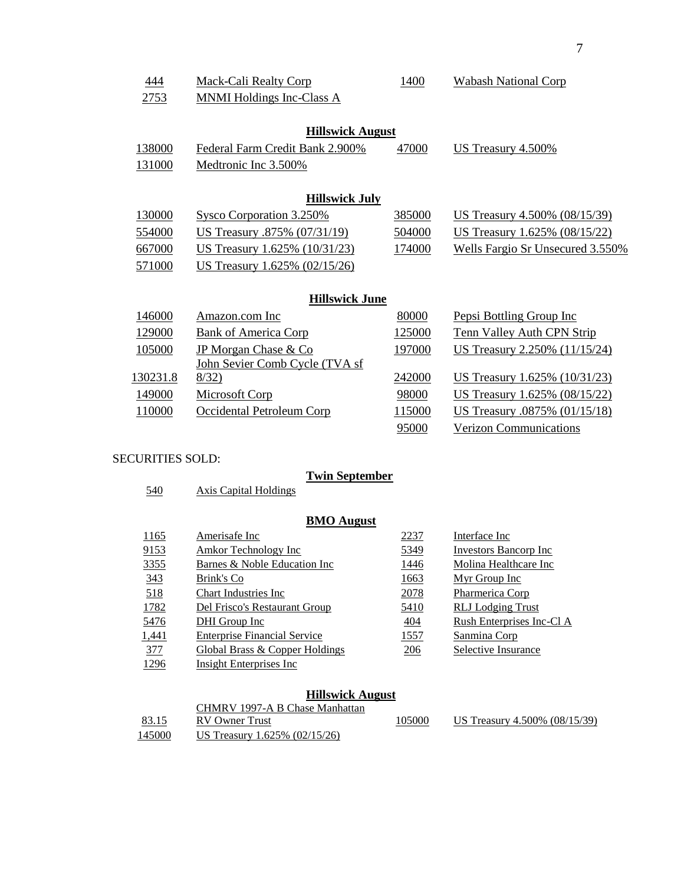| 444      | <b>Mack-Cali Realty Corp</b>     | 1400   | <b>Wabash National Corp</b>          |
|----------|----------------------------------|--------|--------------------------------------|
| 2753     | <b>MNMI Holdings Inc-Class A</b> |        |                                      |
|          |                                  |        |                                      |
|          | <b>Hillswick August</b>          |        |                                      |
| 138000   | Federal Farm Credit Bank 2.900%  | 47000  | US Treasury $4.500\%$                |
| 131000   | Medtronic Inc 3.500%             |        |                                      |
|          |                                  |        |                                      |
|          | <b>Hillswick July</b>            |        |                                      |
| 130000   | Sysco Corporation 3.250%         | 385000 | <u>US Treasury 4.500% (08/15/39)</u> |
| 554000   | US Treasury .875% (07/31/19)     | 504000 | <u>US Treasury 1.625% (08/15/22)</u> |
| 667000   | US Treasury 1.625% (10/31/23)    | 174000 | Wells Fargio Sr Unsecured 3.550%     |
| 571000   | US Treasury 1.625% (02/15/26)    |        |                                      |
|          |                                  |        |                                      |
|          | <b>Hillswick June</b>            |        |                                      |
| 146000   | Amazon.com Inc                   | 80000  | Pepsi Bottling Group Inc             |
| 129000   | <b>Bank of America Corp</b>      | 125000 | <b>Tenn Valley Auth CPN Strip</b>    |
| 105000   | JP Morgan Chase & Co             | 197000 | US Treasury 2.250% (11/15/24)        |
|          | John Sevier Comb Cycle (TVA sf   |        |                                      |
| 130231.8 | 8/32)                            | 242000 | US Treasury 1.625% (10/31/23)        |
| 149000   | <b>Microsoft Corp</b>            | 98000  | US Treasury 1.625% (08/15/22)        |
| 110000   | Occidental Petroleum Corp        | 115000 | US Treasury .0875% (01/15/18)        |
|          |                                  | 95000  | <b>Verizon Communications</b>        |

### SECURITIES SOLD:

# **Twin September**

Axis Capital Holdings

# **BMO August**

| 1165  | Amerisafe Inc                             | 2237        | Interface Inc             |
|-------|-------------------------------------------|-------------|---------------------------|
| 9153  | Amkor Technology Inc                      | 5349        | Investors Bancorp Inc     |
| 3355  | Barnes & Noble Education Inc              | 1446        | Molina Healthcare Inc     |
| 343   | Brink's Co                                | <u>1663</u> | Myr Group Inc             |
| 518   | <b>Chart Industries Inc.</b>              | 2078        | Pharmerica Corp           |
| 1782  | Del Frisco's Restaurant Group             | 5410        | <b>RLJ</b> Lodging Trust  |
| 5476  | DHI Group Inc                             | 404         | Rush Enterprises Inc-Cl A |
| 1,441 | <b>Enterprise Financial Service</b>       | <u>1557</u> | Sanmina Corp              |
| 377   | <b>Global Brass &amp; Copper Holdings</b> | 206         | Selective Insurance       |
| 1296  | Insight Enterprises Inc.                  |             |                           |

#### **Hillswick August**

|               | CHMRV 1997-A B Chase Manhattan  |        |                               |
|---------------|---------------------------------|--------|-------------------------------|
| 83.15         | RV Owner Trust                  | 105000 | US Treasury 4.500% (08/15/39) |
| <u>145000</u> | US Treasury 1.625% $(02/15/26)$ |        |                               |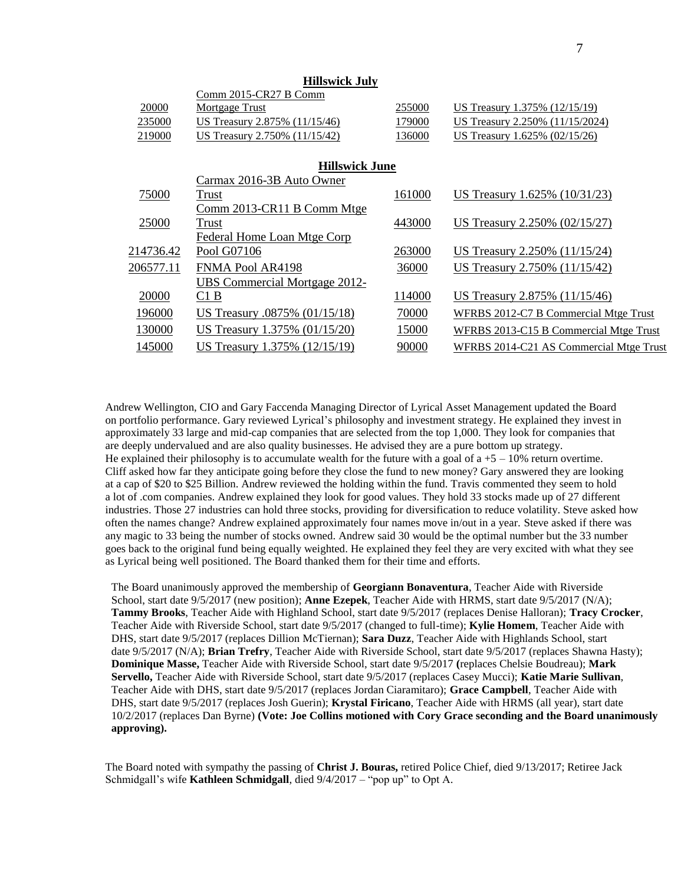|           | 111119771VIX U WI             |        |                                         |
|-----------|-------------------------------|--------|-----------------------------------------|
|           | Comm 2015-CR27 B Comm         |        |                                         |
| 20000     | Mortgage Trust                | 255000 | US Treasury 1.375% (12/15/19)           |
| 235000    | US Treasury 2.875% (11/15/46) | 179000 | US Treasury 2.250% (11/15/2024)         |
| 219000    | US Treasury 2.750% (11/15/42) | 136000 | US Treasury 1.625% (02/15/26)           |
|           |                               |        |                                         |
|           | <b>Hillswick June</b>         |        |                                         |
|           | Carmax 2016-3B Auto Owner     |        |                                         |
| 75000     | Trust                         | 161000 | US Treasury 1.625% (10/31/23)           |
|           | Comm 2013-CR11 B Comm Mtge    |        |                                         |
| 25000     | Trust                         | 443000 | US Treasury 2.250% (02/15/27)           |
|           | Federal Home Loan Mtge Corp   |        |                                         |
| 214736.42 | Pool G07106                   | 263000 | US Treasury 2.250% (11/15/24)           |
| 206577.11 | FNMA Pool AR4198              | 36000  | US Treasury 2.750% (11/15/42)           |
|           | UBS Commercial Mortgage 2012- |        |                                         |
| 20000     | C1B                           | 114000 | US Treasury 2.875% (11/15/46)           |
| 196000    | US Treasury .0875% (01/15/18) | 70000  | WFRBS 2012-C7 B Commercial Mtge Trust   |
| 130000    | US Treasury 1.375% (01/15/20) | 15000  | WFRBS 2013-C15 B Commercial Mtge Trust  |
| 145000    | US Treasury 1.375% (12/15/19) | 90000  | WFRBS 2014-C21 AS Commercial Mtge Trust |
|           |                               |        |                                         |

 **Hillswick July**

Andrew Wellington, CIO and Gary Faccenda Managing Director of Lyrical Asset Management updated the Board on portfolio performance. Gary reviewed Lyrical's philosophy and investment strategy. He explained they invest in approximately 33 large and mid-cap companies that are selected from the top 1,000. They look for companies that are deeply undervalued and are also quality businesses. He advised they are a pure bottom up strategy. He explained their philosophy is to accumulate wealth for the future with a goal of  $a +5 - 10\%$  return overtime. Cliff asked how far they anticipate going before they close the fund to new money? Gary answered they are looking at a cap of \$20 to \$25 Billion. Andrew reviewed the holding within the fund. Travis commented they seem to hold a lot of .com companies. Andrew explained they look for good values. They hold 33 stocks made up of 27 different industries. Those 27 industries can hold three stocks, providing for diversification to reduce volatility. Steve asked how often the names change? Andrew explained approximately four names move in/out in a year. Steve asked if there was any magic to 33 being the number of stocks owned. Andrew said 30 would be the optimal number but the 33 number goes back to the original fund being equally weighted. He explained they feel they are very excited with what they see as Lyrical being well positioned. The Board thanked them for their time and efforts.

The Board unanimously approved the membership of **Georgiann Bonaventura**, Teacher Aide with Riverside School, start date 9/5/2017 (new position); **Anne Ezepek**, Teacher Aide with HRMS, start date 9/5/2017 (N/A); **Tammy Brooks**, Teacher Aide with Highland School, start date 9/5/2017 (replaces Denise Halloran); **Tracy Crocker**, Teacher Aide with Riverside School, start date 9/5/2017 (changed to full-time); **Kylie Homem**, Teacher Aide with DHS, start date 9/5/2017 (replaces Dillion McTiernan); **Sara Duzz**, Teacher Aide with Highlands School, start date 9/5/2017 (N/A); **Brian Trefry**, Teacher Aide with Riverside School, start date 9/5/2017 (replaces Shawna Hasty); **Dominique Masse,** Teacher Aide with Riverside School, start date 9/5/2017 **(**replaces Chelsie Boudreau); **Mark Servello,** Teacher Aide with Riverside School, start date 9/5/2017 (replaces Casey Mucci); **Katie Marie Sullivan**, Teacher Aide with DHS, start date 9/5/2017 (replaces Jordan Ciaramitaro); **Grace Campbell**, Teacher Aide with DHS, start date 9/5/2017 (replaces Josh Guerin); **Krystal Firicano**, Teacher Aide with HRMS (all year), start date 10/2/2017 (replaces Dan Byrne) **(Vote: Joe Collins motioned with Cory Grace seconding and the Board unanimously approving).**

The Board noted with sympathy the passing of **Christ J. Bouras,** retired Police Chief, died 9/13/2017; Retiree Jack Schmidgall's wife **Kathleen Schmidgall**, died 9/4/2017 – "pop up" to Opt A.